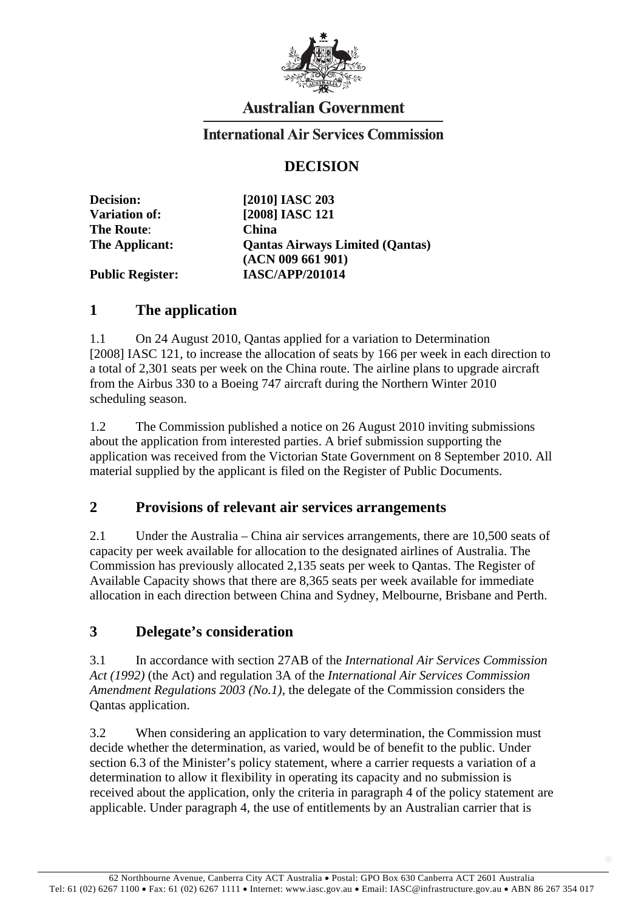

# **Australian Government**

#### **International Air Services Commission**

## **DECISION**

| <b>Decision:</b>        | $[2010]$ IASC 203                      |
|-------------------------|----------------------------------------|
| <b>Variation of:</b>    | [2008] IASC 121                        |
| <b>The Route:</b>       | <b>China</b>                           |
| The Applicant:          | <b>Qantas Airways Limited (Qantas)</b> |
|                         | (ACN 009 661 901)                      |
| <b>Public Register:</b> | <b>IASC/APP/201014</b>                 |

### **1 The application**

1.1 On 24 August 2010, Qantas applied for a variation to Determination [2008] IASC 121, to increase the allocation of seats by 166 per week in each direction to a total of 2,301 seats per week on the China route. The airline plans to upgrade aircraft from the Airbus 330 to a Boeing 747 aircraft during the Northern Winter 2010 scheduling season.

1.2 The Commission published a notice on 26 August 2010 inviting submissions about the application from interested parties. A brief submission supporting the application was received from the Victorian State Government on 8 September 2010. All material supplied by the applicant is filed on the Register of Public Documents.

#### **2 Provisions of relevant air services arrangements**

2.1 Under the Australia – China air services arrangements, there are 10,500 seats of capacity per week available for allocation to the designated airlines of Australia. The Commission has previously allocated 2,135 seats per week to Qantas. The Register of Available Capacity shows that there are 8,365 seats per week available for immediate allocation in each direction between China and Sydney, Melbourne, Brisbane and Perth.

## **3 Delegate's consideration**

3.1 In accordance with section 27AB of the *International Air Services Commission Act (1992)* (the Act) and regulation 3A of the *International Air Services Commission Amendment Regulations 2003 (No.1)*, the delegate of the Commission considers the Qantas application.

3.2 When considering an application to vary determination, the Commission must decide whether the determination, as varied, would be of benefit to the public. Under section 6.3 of the Minister's policy statement, where a carrier requests a variation of a determination to allow it flexibility in operating its capacity and no submission is received about the application, only the criteria in paragraph 4 of the policy statement are applicable. Under paragraph 4, the use of entitlements by an Australian carrier that is